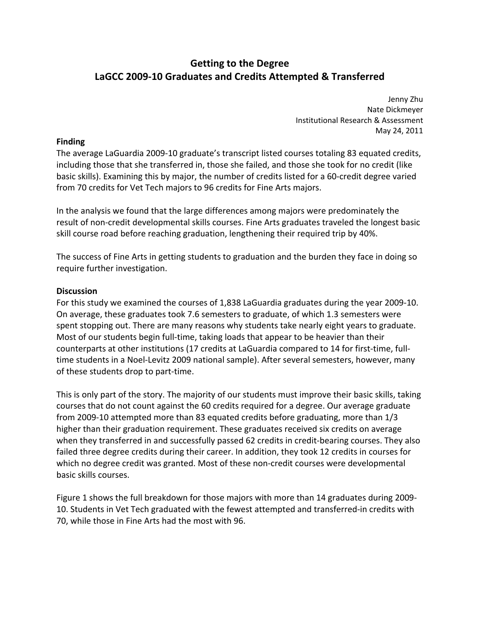# **Getting to the Degree LaGCC 2009‐10 Graduates and Credits Attempted & Transferred**

 Jenny Zhu Nate Dickmeyer Institutional Research & Assessment May 24, 2011

## **Finding**

 The average LaGuardia 2009‐10 graduate's transcript listed courses totaling 83 equated credits, including those that she transferred in, those she failed, and those she took for no credit (like basic skills). Examining this by major, the number of credits listed for a 60‐credit degree varied from 70 credits for Vet Tech majors to 96 credits for Fine Arts majors.

 In the analysis we found that the large differences among majors were predominately the result of non‐credit developmental skills courses. Fine Arts graduates traveled the longest basic skill course road before reaching graduation, lengthening their required trip by 40%.

 The success of Fine Arts in getting students to graduation and the burden they face in doing so require further investigation.

## **Discussion**

 For this study we examined the courses of 1,838 LaGuardia graduates during the year 2009‐10. On average, these graduates took 7.6 semesters to graduate, of which 1.3 semesters were spent stopping out. There are many reasons why students take nearly eight years to graduate. Most of our students begin full‐time, taking loads that appear to be heavier than their counterparts at other institutions (17 credits at LaGuardia compared to 14 for first‐time, full‐ time students in a Noel‐Levitz 2009 national sample). After several semesters, however, many of these students drop to part‐time.

 This is only part of the story. The majority of our students must improve their basic skills, taking courses that do not count against the 60 credits required for a degree. Our average graduate from 2009‐10 attempted more than 83 equated credits before graduating, more than 1/3 higher than their graduation requirement. These graduates received six credits on average when they transferred in and successfully passed 62 credits in credit‐bearing courses. They also failed three degree credits during their career. In addition, they took 12 credits in courses for which no degree credit was granted. Most of these non‐credit courses were developmental basic skills courses.

 Figure 1 shows the full breakdown for those majors with more than 14 graduates during 2009‐ 10. Students in Vet Tech graduated with the fewest attempted and transferred‐in credits with 70, while those in Fine Arts had the most with 96.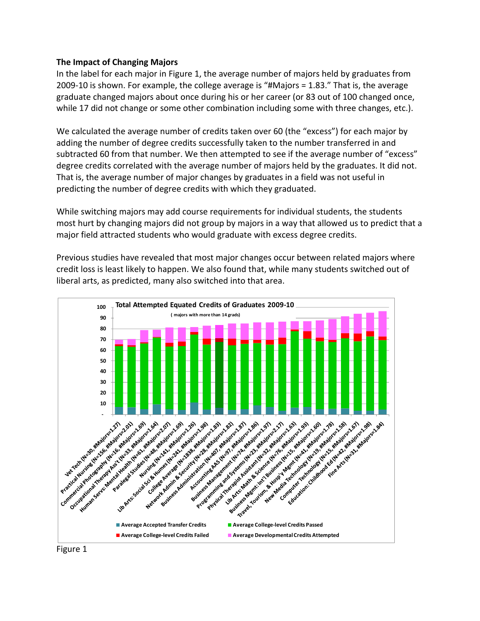## **The Impact of Changing Majors**

In the label for each major in Figure 1, the average number of majors held by graduates from 2009‐10 is shown. For example, the college average is "#Majors = 1.83." That is, the average graduate changed majors about once during his or her career (or 83 out of 100 changed once, while 17 did not change or some other combination including some with three changes, etc.).

We calculated the average number of credits taken over 60 (the "excess") for each major by adding the number of degree credits successfully taken to the number transferred in and subtracted 60 from that number. We then attempted to see if the average number of "excess" degree credits correlated with the average number of majors held by the graduates. It did not. That is, the average number of major changes by graduates in a field was not useful in predicting the number of degree credits with which they graduated.

While switching majors may add course requirements for individual students, the students most hurt by changing majors did not group by majors in a way that allowed us to predict that a major field attracted students who would graduate with excess degree credits.

Previous studies have revealed that most major changes occur between related majors where credit loss is least likely to happen. We also found that, while many students switched out of liberal arts, as predicted, many also switched into that area.



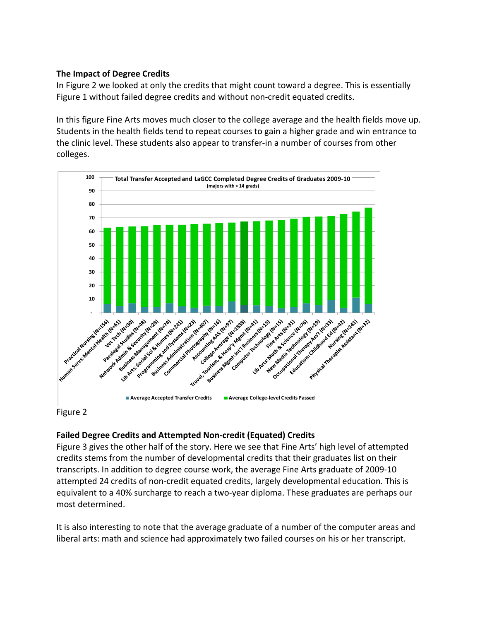# **The Impact of Degree Credits**

In Figure 2 we looked at only the credits that might count toward a degree. This is essentially Figure 1 without failed degree credits and without non-credit equated credits.

In this figure Fine Arts moves much closer to the college average and the health fields move up. Students in the health fields tend to repeat courses to gain a higher grade and win entrance to the clinic level. These students also appear to transfer‐in a number of courses from other colleges.





# **Failed Degree Credits and Attempted Non‐credit (Equated) Credits**

Figure 3 gives the other half of the story. Here we see that Fine Arts' high level of attempted credits stems from the number of developmental credits that their graduates list on their transcripts. In addition to degree course work, the average Fine Arts graduate of 2009‐10 attempted 24 credits of non‐credit equated credits, largely developmental education. This is equivalent to a 40% surcharge to reach a two-year diploma. These graduates are perhaps our most determined.

It is also interesting to note that the average graduate of a number of the computer areas and liberal arts: math and science had approximately two failed courses on his or her transcript.